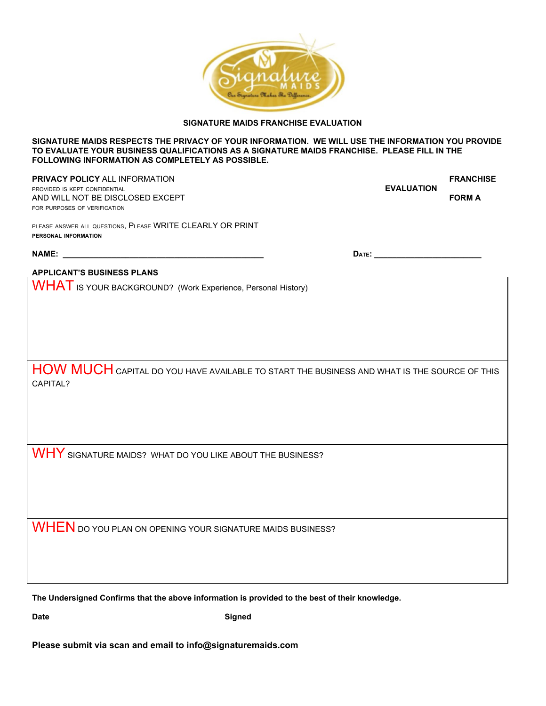

## **SIGNATURE MAIDS FRANCHISE EVALUATION**

#### **SIGNATURE MAIDS RESPECTS THE PRIVACY OF YOUR INFORMATION. WE WILL USE THE INFORMATION YOU PROVIDE TO EVALUATE YOUR BUSINESS QUALIFICATIONS AS A SIGNATURE MAIDS FRANCHISE. PLEASE FILL IN THE FOLLOWING INFORMATION AS COMPLETELY AS POSSIBLE.**

**PRIVACY POLICY** ALL INFORMATION **FRANCHISE**<br>PROVIDED IS KEPT CONFIDENTIAL **FRANCHISE PROVIDED IS KEPT CONFIDENTIAL** AND WILL NOT BE DISCLOSED EXCEPT **FORM A** FOR PURPOSES OF VERIFICATION

PLEASE ANSWER ALL QUESTIONS, PLEASE WRITE CLEARLY OR PRINT **PERSONAL INFORMATION**

**NAME: \_\_\_\_\_\_\_\_\_\_\_\_\_\_\_\_\_\_\_\_\_\_\_\_\_\_\_\_\_\_\_\_\_\_\_\_\_\_\_\_\_\_\_\_\_ DATE: \_\_\_\_\_\_\_\_\_\_\_\_\_\_\_\_\_\_\_\_\_\_\_\_**

## **APPLICANT'S BUSINESS PLANS**

WHAT IS YOUR BACKGROUND? (Work Experience, Personal History)

HOW MUCH CAPITAL DO YOU HAVE AVAILABLE TO START THE BUSINESS AND WHAT IS THE SOURCE OF THIS CAPITAL?

WHY SIGNATURE MAIDS? WHAT DO YOU LIKE ABOUT THE BUSINESS?

WHEN DO YOU PLAN ON OPENING YOUR SIGNATURE MAIDS BUSINESS?

**The Undersigned Confirms that the above information is provided to the best of their knowledge.**

**Date Signed** 

**Please submit via scan and email to info@signaturemaids.com**